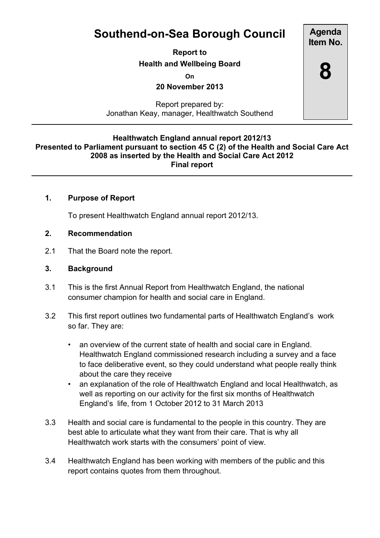# **Southend-on-Sea Borough Council**

**Report to Health and Wellbeing Board**

**On**

**20 November 2013**

Report prepared by: Jonathan Keay, manager, Healthwatch Southend

#### **Healthwatch England annual report 2012/13 Presented to Parliament pursuant to section 45 C (2) of the Health and Social Care Act 2008 as inserted by the Health and Social Care Act 2012 Final report**

## **1. Purpose of Report**

To present Healthwatch England annual report 2012/13.

## **2. Recommendation**

2.1 That the Board note the report.

#### **3. Background**

- 3.1 This is the first Annual Report from Healthwatch England, the national consumer champion for health and social care in England.
- 3.2 This first report outlines two fundamental parts of Healthwatch England's work so far. They are:
	- an overview of the current state of health and social care in England. Healthwatch England commissioned research including a survey and a face to face deliberative event, so they could understand what people really think about the care they receive
	- an explanation of the role of Healthwatch England and local Healthwatch, as well as reporting on our activity for the first six months of Healthwatch England's life, from 1 October 2012 to 31 March 2013
- 3.3 Health and social care is fundamental to the people in this country. They are best able to articulate what they want from their care. That is why all Healthwatch work starts with the consumers' point of view.
- 3.4 Healthwatch England has been working with members of the public and this report contains quotes from them throughout.

**Agenda Item No.**

**8**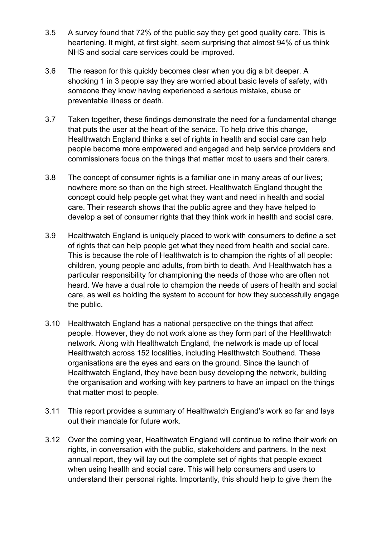- 3.5 A survey found that 72% of the public say they get good quality care. This is heartening. It might, at first sight, seem surprising that almost 94% of us think NHS and social care services could be improved.
- 3.6 The reason for this quickly becomes clear when you dig a bit deeper. A shocking 1 in 3 people say they are worried about basic levels of safety, with someone they know having experienced a serious mistake, abuse or preventable illness or death.
- 3.7 Taken together, these findings demonstrate the need for a fundamental change that puts the user at the heart of the service. To help drive this change, Healthwatch England thinks a set of rights in health and social care can help people become more empowered and engaged and help service providers and commissioners focus on the things that matter most to users and their carers.
- 3.8 The concept of consumer rights is a familiar one in many areas of our lives; nowhere more so than on the high street. Healthwatch England thought the concept could help people get what they want and need in health and social care. Their research shows that the public agree and they have helped to develop a set of consumer rights that they think work in health and social care.
- 3.9 Healthwatch England is uniquely placed to work with consumers to define a set of rights that can help people get what they need from health and social care. This is because the role of Healthwatch is to champion the rights of all people: children, young people and adults, from birth to death. And Healthwatch has a particular responsibility for championing the needs of those who are often not heard. We have a dual role to champion the needs of users of health and social care, as well as holding the system to account for how they successfully engage the public.
- 3.10 Healthwatch England has a national perspective on the things that affect people. However, they do not work alone as they form part of the Healthwatch network. Along with Healthwatch England, the network is made up of local Healthwatch across 152 localities, including Healthwatch Southend. These organisations are the eyes and ears on the ground. Since the launch of Healthwatch England, they have been busy developing the network, building the organisation and working with key partners to have an impact on the things that matter most to people.
- 3.11 This report provides a summary of Healthwatch England's work so far and lays out their mandate for future work.
- 3.12 Over the coming year, Healthwatch England will continue to refine their work on rights, in conversation with the public, stakeholders and partners. In the next annual report, they will lay out the complete set of rights that people expect when using health and social care. This will help consumers and users to understand their personal rights. Importantly, this should help to give them the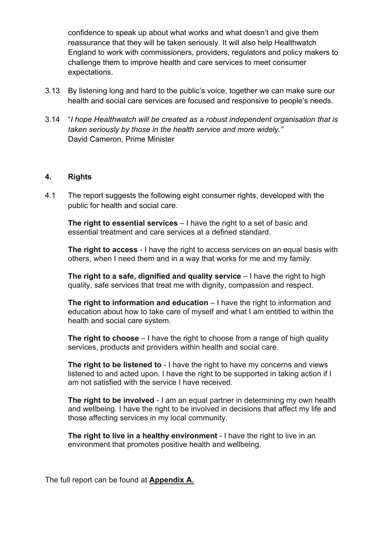confidence to speak up about what works and what doesn't and give them reassurance that they will be taken seriously. It will also help Healthwatch England to work with commissioners, providers, regulators and policy makers to challenge them to improve health and care services to meet consumer expectations.

- 3.13 By listening long and hard to the public's voice, together we can make sure our health and social care services are focused and responsive to people's needs.
- 3.14 "*I hope Healthwatch will be created as a robust independent organisation that is taken seriously by those in the health service and more widely."* David Cameron, Prime Minister

#### **4. Rights**

4.1 The report suggests the following eight consumer rights, developed with the public for health and social care.

**The right to essential services** – I have the right to a set of basic and essential treatment and care services at a defined standard.

**The right to access** - I have the right to access services on an equal basis with others, when I need them and in a way that works for me and my family.

**The right to a safe, dignified and quality service** – I have the right to high quality, safe services that treat me with dignity, compassion and respect.

**The right to information and education** – I have the right to information and education about how to take care of myself and what I am entitled to within the health and social care system.

**The right to [choose](http://www.essexpartnershipportal.org/pages/index.php?page=our-fifth-solution)** – I have the right to choose from a range of high quality services, products and providers within health and social care.

**The right to be listened to** - I have the right to have my concerns and views listened to and acted upon. I have the right to be supported in taking action if I am not satisfied with the service I have received.

**The right to be involved** - I am an equal partner in determining my own health and wellbeing. I have the right to be involved in decisions that affect my life and those affecting services in my local community.

**The right to live in a healthy environment** - I have the right to live in an environment that promotes positive health and wellbeing.

The full report can be found at **Appendix A.**